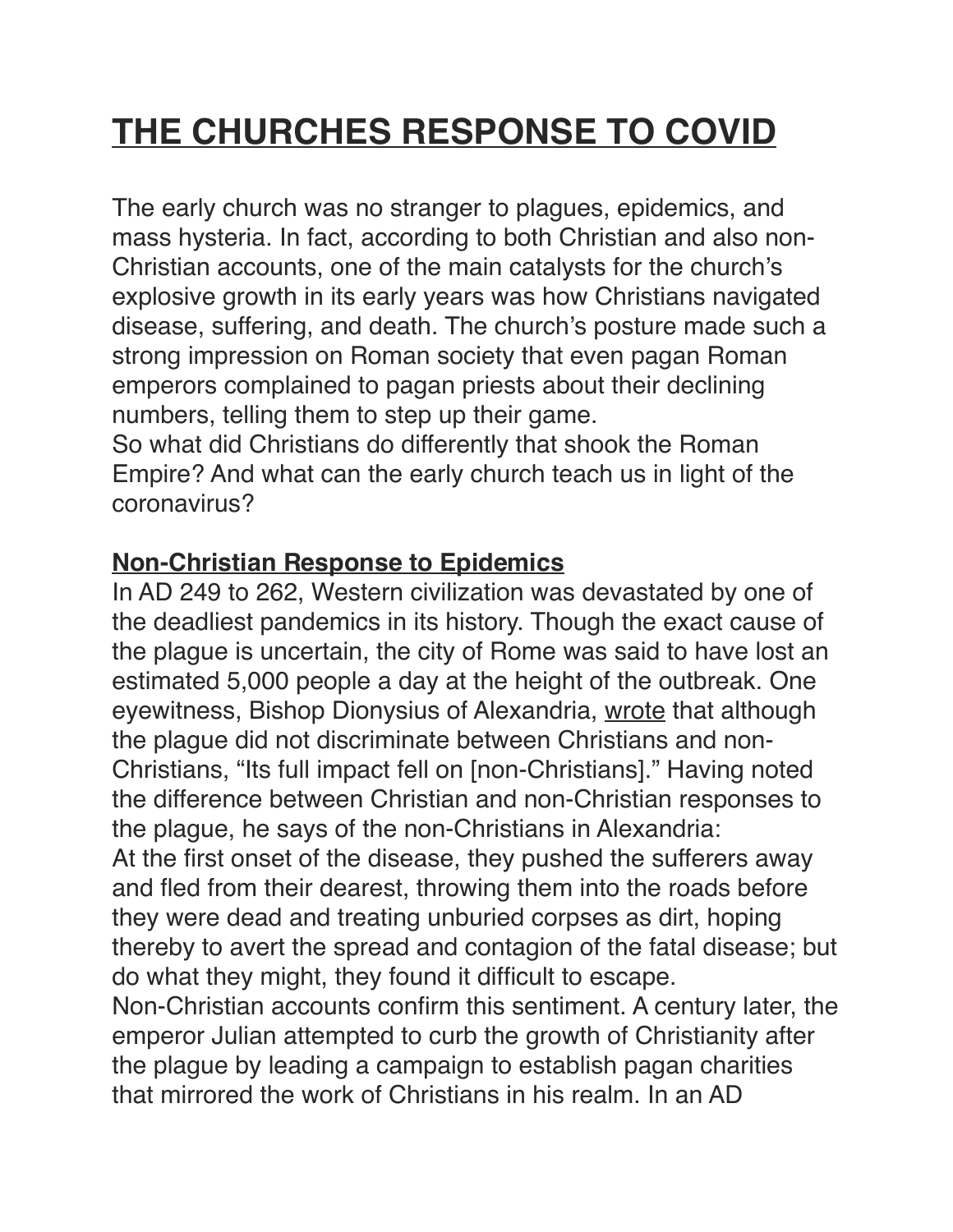## **THE CHURCHES RESPONSE TO COVID**

The early church was no stranger to plagues, epidemics, and mass hysteria. In fact, according to both Christian and also non-Christian accounts, one of the main catalysts for the church's explosive growth in its early years was how Christians navigated disease, suffering, and death. The church's posture made such a strong impression on Roman society that even pagan Roman emperors complained to pagan priests about their declining numbers, telling them to step up their game.

So what did Christians do differently that shook the Roman Empire? And what can the early church teach us in light of the coronavirus?

## **Non-Christian Response to Epidemics**

In AD 249 to 262, Western civilization was devastated by one of the deadliest pandemics in its history. Though the exact cause of the plague is uncertain, the city of Rome was said to have lost an estimated 5,000 people a day at the height of the outbreak. One eyewitness, Bishop Dionysius of Alexandria, [wrote](https://erenow.net/common/the-history-of-the-church/8.php) that although the plague did not discriminate between Christians and non-Christians, "Its full impact fell on [non-Christians]." Having noted the difference between Christian and non-Christian responses to the plague, he says of the non-Christians in Alexandria: At the first onset of the disease, they pushed the sufferers away and fled from their dearest, throwing them into the roads before they were dead and treating unburied corpses as dirt, hoping thereby to avert the spread and contagion of the fatal disease; but do what they might, they found it difficult to escape. Non-Christian accounts confirm this sentiment. A century later, the emperor Julian attempted to curb the growth of Christianity after the plague by leading a campaign to establish pagan charities that mirrored the work of Christians in his realm. In an AD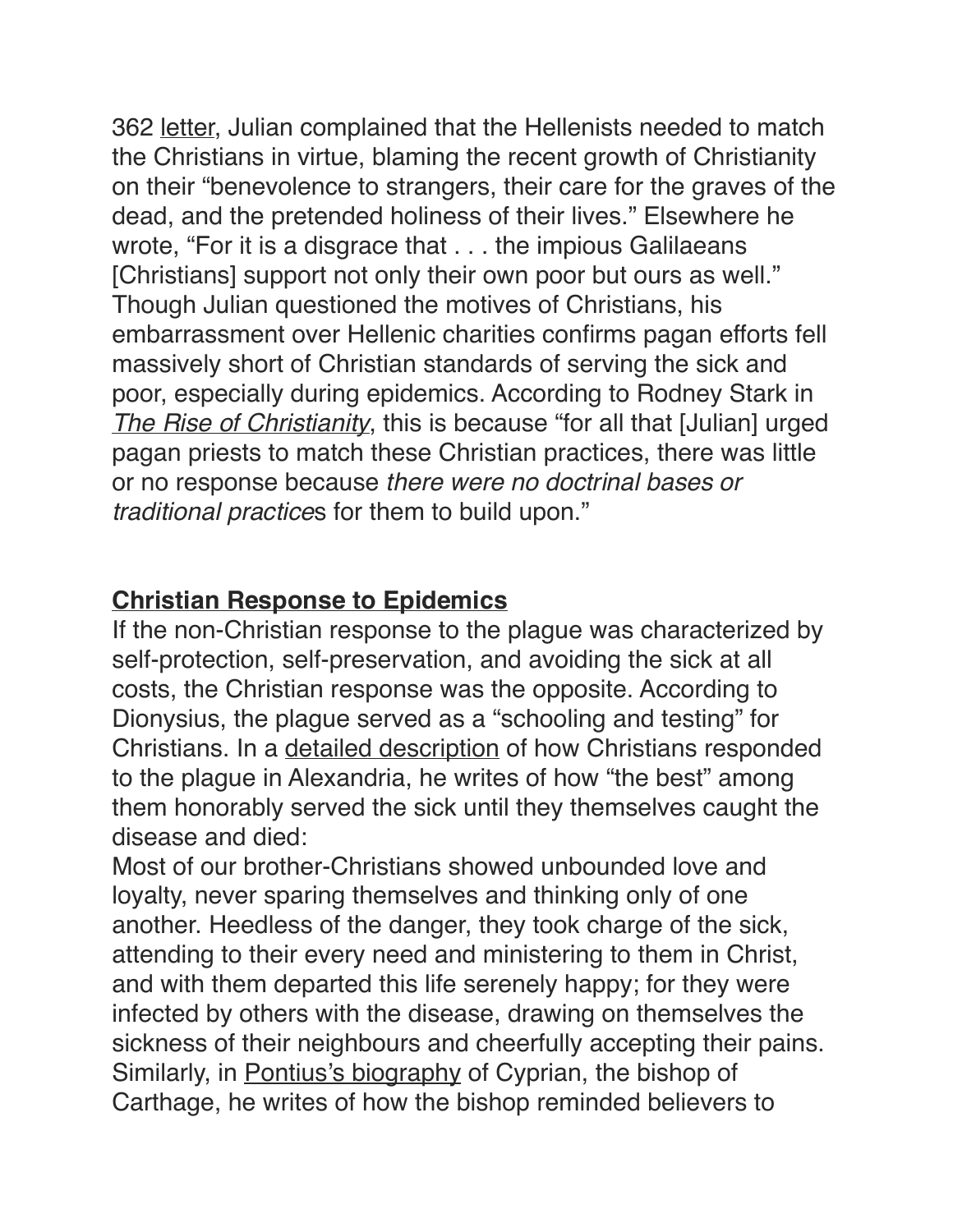362 [letter,](https://en.wikisource.org/wiki/Letters_of_Julian/Letter_22) Julian complained that the Hellenists needed to match the Christians in virtue, blaming the recent growth of Christianity on their "benevolence to strangers, their care for the graves of the dead, and the pretended holiness of their lives." Elsewhere he wrote, "For it is a disgrace that . . . the impious Galilaeans [Christians] support not only their own poor but ours as well." Though Julian questioned the motives of Christians, his embarrassment over Hellenic charities confirms pagan efforts fell massively short of Christian standards of serving the sick and poor, especially during epidemics. According to Rodney Stark in *[The Rise of Christianity](https://www.amazon.com/Rise-Christianity-Marginal-Religious-Centuries/dp/0060677015/?tag=thegospcoal-20)*, this is because "for all that [Julian] urged pagan priests to match these Christian practices, there was little or no response because *there were no doctrinal bases or traditional practice*s for them to build upon."

## **Christian Response to Epidemics**

If the non-Christian response to the plague was characterized by self-protection, self-preservation, and avoiding the sick at all costs, the Christian response was the opposite. According to Dionysius, the plague served as a "schooling and testing" for Christians. In a [detailed description](https://erenow.net/common/the-history-of-the-church/8.php) of how Christians responded to the plague in Alexandria, he writes of how "the best" among them honorably served the sick until they themselves caught the disease and died:

Most of our brother-Christians showed unbounded love and loyalty, never sparing themselves and thinking only of one another. Heedless of the danger, they took charge of the sick, attending to their every need and ministering to them in Christ, and with them departed this life serenely happy; for they were infected by others with the disease, drawing on themselves the sickness of their neighbours and cheerfully accepting their pains. Similarly, in [Pontius's biography](https://ccel.org/ccel/harnack/mission.iv.iv.html) of Cyprian, the bishop of Carthage, he writes of how the bishop reminded believers to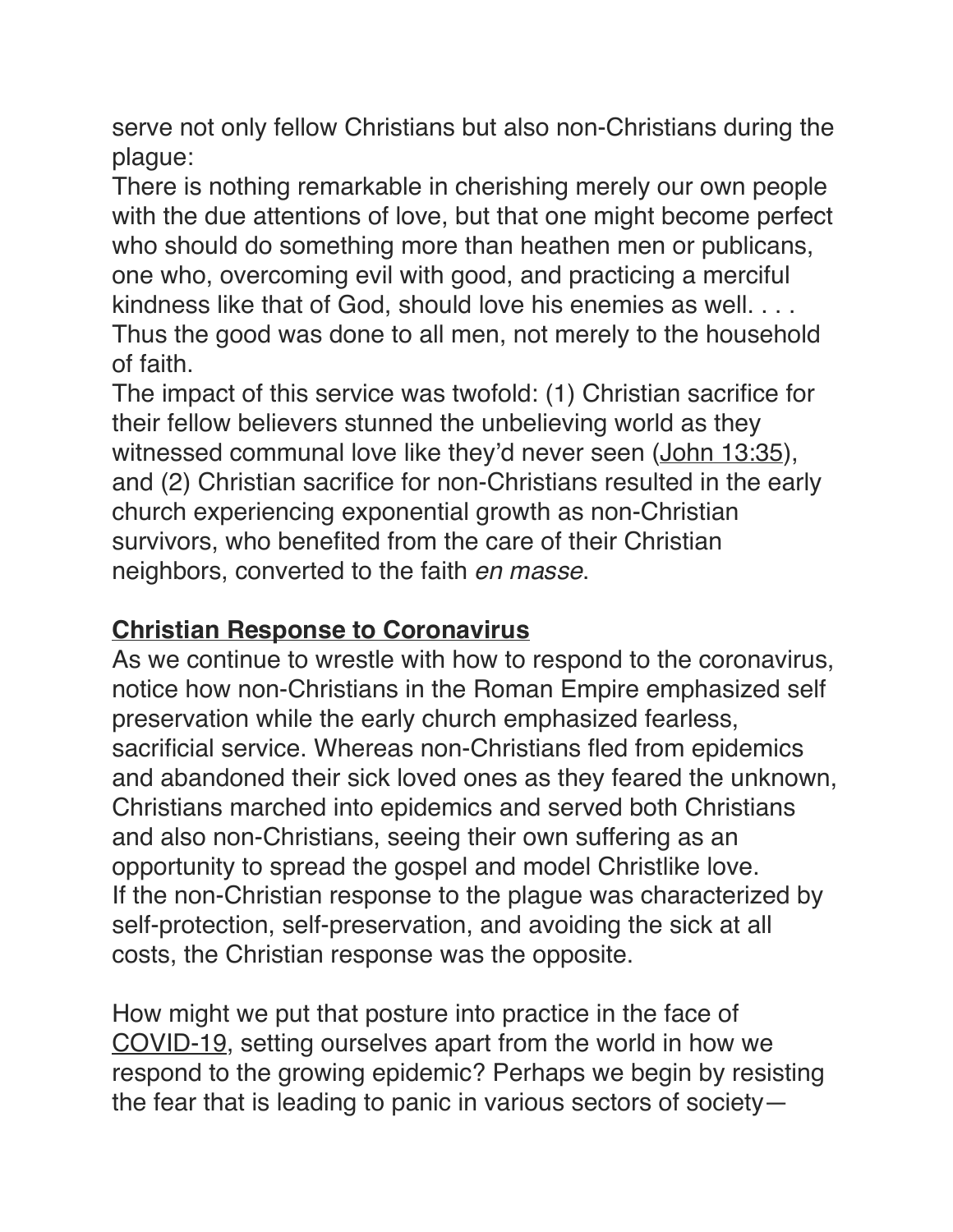serve not only fellow Christians but also non-Christians during the plague:

There is nothing remarkable in cherishing merely our own people with the due attentions of love, but that one might become perfect who should do something more than heathen men or publicans, one who, overcoming evil with good, and practicing a merciful kindness like that of God, should love his enemies as well. . . . Thus the good was done to all men, not merely to the household of faith.

The impact of this service was twofold: (1) Christian sacrifice for their fellow believers stunned the unbelieving world as they witnessed communal love like they'd never seen [\(John 13:35](https://www.esv.org/John%2013%3A35/)), and (2) Christian sacrifice for non-Christians resulted in the early church experiencing exponential growth as non-Christian survivors, who benefited from the care of their Christian neighbors, converted to the faith *en masse*.

## **Christian Response to Coronavirus**

As we continue to wrestle with how to respond to the coronavirus, notice how non-Christians in the Roman Empire emphasized self preservation while the early church emphasized fearless, sacrificial service. Whereas non-Christians fled from epidemics and abandoned their sick loved ones as they feared the unknown, Christians marched into epidemics and served both Christians and also non-Christians, seeing their own suffering as an opportunity to spread the gospel and model Christlike love. If the non-Christian response to the plague was characterized by self-protection, self-preservation, and avoiding the sick at all costs, the Christian response was the opposite.

How might we put that posture into practice in the face of [COVID-19,](https://www.thegospelcoalition.org/article/how-should-christians-talk-about-the-covid-19-potential-pandemic/) setting ourselves apart from the world in how we respond to the growing epidemic? Perhaps we begin by resisting the fear that is leading to panic in various sectors of society